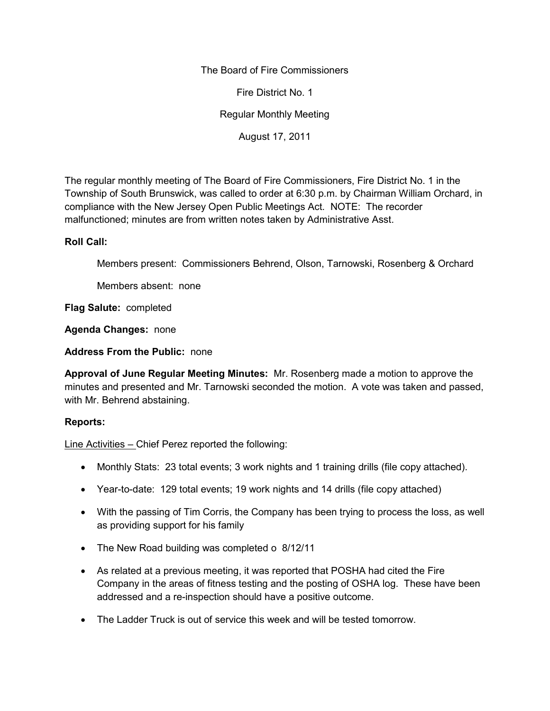The Board of Fire Commissioners

Fire District No. 1

Regular Monthly Meeting

August 17, 2011

The regular monthly meeting of The Board of Fire Commissioners, Fire District No. 1 in the Township of South Brunswick, was called to order at 6:30 p.m. by Chairman William Orchard, in compliance with the New Jersey Open Public Meetings Act. NOTE: The recorder malfunctioned; minutes are from written notes taken by Administrative Asst.

## **Roll Call:**

Members present: Commissioners Behrend, Olson, Tarnowski, Rosenberg & Orchard

Members absent: none

**Flag Salute:** completed

**Agenda Changes:** none

**Address From the Public:** none

**Approval of June Regular Meeting Minutes:** Mr. Rosenberg made a motion to approve the minutes and presented and Mr. Tarnowski seconded the motion. A vote was taken and passed, with Mr. Behrend abstaining.

## **Reports:**

Line Activities – Chief Perez reported the following:

- Monthly Stats: 23 total events; 3 work nights and 1 training drills (file copy attached).
- Year-to-date: 129 total events; 19 work nights and 14 drills (file copy attached)
- With the passing of Tim Corris, the Company has been trying to process the loss, as well as providing support for his family
- The New Road building was completed o 8/12/11
- As related at a previous meeting, it was reported that POSHA had cited the Fire Company in the areas of fitness testing and the posting of OSHA log. These have been addressed and a re-inspection should have a positive outcome.
- The Ladder Truck is out of service this week and will be tested tomorrow.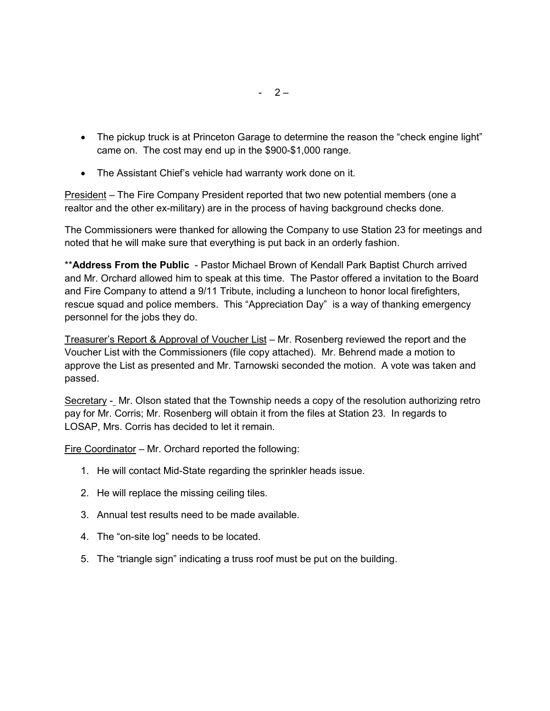- The pickup truck is at Princeton Garage to determine the reason the "check engine light" came on. The cost may end up in the \$900-\$1,000 range.
- The Assistant Chief's vehicle had warranty work done on it.

President – The Fire Company President reported that two new potential members (one a realtor and the other ex-military) are in the process of having background checks done.

The Commissioners were thanked for allowing the Company to use Station 23 for meetings and noted that he will make sure that everything is put back in an orderly fashion.

\*\***Address From the Public** - Pastor Michael Brown of Kendall Park Baptist Church arrived and Mr. Orchard allowed him to speak at this time. The Pastor offered a invitation to the Board and Fire Company to attend a 9/11 Tribute, including a luncheon to honor local firefighters, rescue squad and police members. This "Appreciation Day" is a way of thanking emergency personnel for the jobs they do.

Treasurer's Report & Approval of Voucher List – Mr. Rosenberg reviewed the report and the Voucher List with the Commissioners (file copy attached). Mr. Behrend made a motion to approve the List as presented and Mr. Tarnowski seconded the motion. A vote was taken and passed.

Secretary - Mr. Olson stated that the Township needs a copy of the resolution authorizing retro pay for Mr. Corris; Mr. Rosenberg will obtain it from the files at Station 23. In regards to LOSAP, Mrs. Corris has decided to let it remain.

Fire Coordinator – Mr. Orchard reported the following:

- 1. He will contact Mid-State regarding the sprinkler heads issue.
- 2. He will replace the missing ceiling tiles.
- 3. Annual test results need to be made available.
- 4. The "on-site log" needs to be located.
- 5. The "triangle sign" indicating a truss roof must be put on the building.